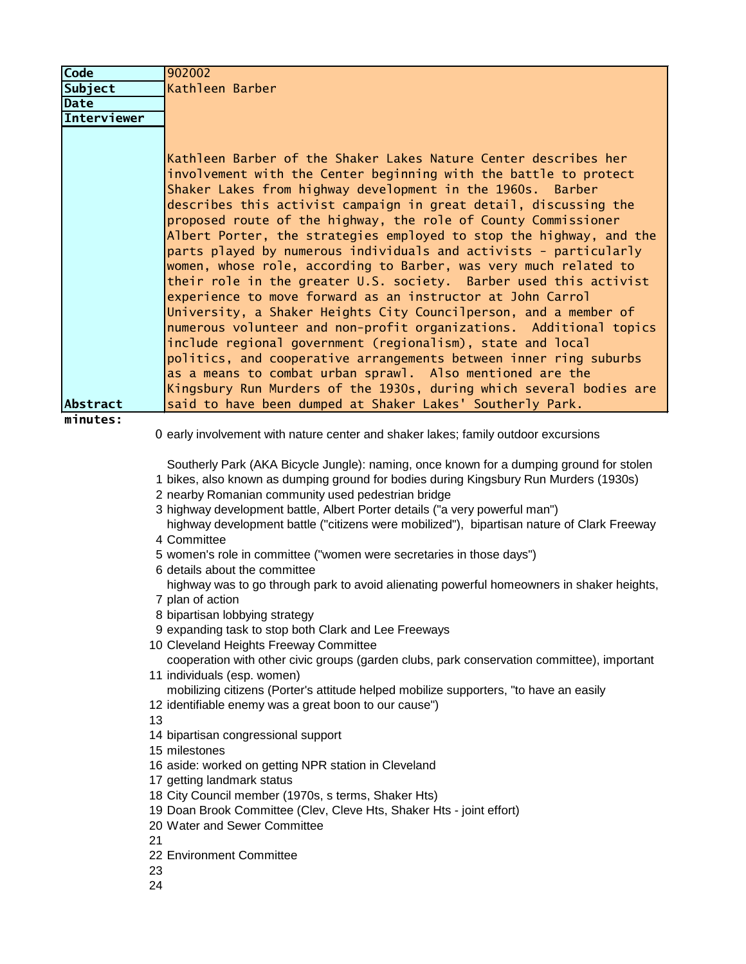| <b>Code</b>        | 902002                                                                                                                                                                                                                                                                                                                                                                                                                                                                                                                                                                                                                                                                                                                                                                                                                                                                                                                                                                                                                                                                                                                                                                                                                                                                                                                                                                                                                   |
|--------------------|--------------------------------------------------------------------------------------------------------------------------------------------------------------------------------------------------------------------------------------------------------------------------------------------------------------------------------------------------------------------------------------------------------------------------------------------------------------------------------------------------------------------------------------------------------------------------------------------------------------------------------------------------------------------------------------------------------------------------------------------------------------------------------------------------------------------------------------------------------------------------------------------------------------------------------------------------------------------------------------------------------------------------------------------------------------------------------------------------------------------------------------------------------------------------------------------------------------------------------------------------------------------------------------------------------------------------------------------------------------------------------------------------------------------------|
| Subject            | Kathleen Barber                                                                                                                                                                                                                                                                                                                                                                                                                                                                                                                                                                                                                                                                                                                                                                                                                                                                                                                                                                                                                                                                                                                                                                                                                                                                                                                                                                                                          |
| <b>Date</b>        |                                                                                                                                                                                                                                                                                                                                                                                                                                                                                                                                                                                                                                                                                                                                                                                                                                                                                                                                                                                                                                                                                                                                                                                                                                                                                                                                                                                                                          |
| <b>Interviewer</b> |                                                                                                                                                                                                                                                                                                                                                                                                                                                                                                                                                                                                                                                                                                                                                                                                                                                                                                                                                                                                                                                                                                                                                                                                                                                                                                                                                                                                                          |
| Abstract           | Kathleen Barber of the Shaker Lakes Nature Center describes her<br>involvement with the Center beginning with the battle to protect<br>Shaker Lakes from highway development in the 1960s. Barber<br>describes this activist campaign in great detail, discussing the<br>proposed route of the highway, the role of County Commissioner<br>Albert Porter, the strategies employed to stop the highway, and the<br>parts played by numerous individuals and activists - particularly<br>women, whose role, according to Barber, was very much related to<br>their role in the greater U.S. society. Barber used this activist<br>experience to move forward as an instructor at John Carrol<br>University, a Shaker Heights City Councilperson, and a member of<br>numerous volunteer and non-profit organizations. Additional topics<br>include regional government (regionalism), state and local<br>politics, and cooperative arrangements between inner ring suburbs<br>as a means to combat urban sprawl. Also mentioned are the<br>Kingsbury Run Murders of the 1930s, during which several bodies are<br>said to have been dumped at Shaker Lakes' Southerly Park.                                                                                                                                                                                                                                                 |
| minutes:           |                                                                                                                                                                                                                                                                                                                                                                                                                                                                                                                                                                                                                                                                                                                                                                                                                                                                                                                                                                                                                                                                                                                                                                                                                                                                                                                                                                                                                          |
|                    | 0 early involvement with nature center and shaker lakes; family outdoor excursions                                                                                                                                                                                                                                                                                                                                                                                                                                                                                                                                                                                                                                                                                                                                                                                                                                                                                                                                                                                                                                                                                                                                                                                                                                                                                                                                       |
| 13<br>21           | Southerly Park (AKA Bicycle Jungle): naming, once known for a dumping ground for stolen<br>1 bikes, also known as dumping ground for bodies during Kingsbury Run Murders (1930s)<br>2 nearby Romanian community used pedestrian bridge<br>3 highway development battle, Albert Porter details ("a very powerful man")<br>highway development battle ("citizens were mobilized"), bipartisan nature of Clark Freeway<br>4 Committee<br>5 women's role in committee ("women were secretaries in those days")<br>6 details about the committee<br>highway was to go through park to avoid alienating powerful homeowners in shaker heights,<br>7 plan of action<br>8 bipartisan lobbying strategy<br>9 expanding task to stop both Clark and Lee Freeways<br>10 Cleveland Heights Freeway Committee<br>cooperation with other civic groups (garden clubs, park conservation committee), important<br>11 individuals (esp. women)<br>mobilizing citizens (Porter's attitude helped mobilize supporters, "to have an easily<br>12 identifiable enemy was a great boon to our cause")<br>14 bipartisan congressional support<br>15 milestones<br>16 aside: worked on getting NPR station in Cleveland<br>17 getting landmark status<br>18 City Council member (1970s, s terms, Shaker Hts)<br>19 Doan Brook Committee (Clev, Cleve Hts, Shaker Hts - joint effort)<br>20 Water and Sewer Committee<br>22 Environment Committee |
| 23<br>24           |                                                                                                                                                                                                                                                                                                                                                                                                                                                                                                                                                                                                                                                                                                                                                                                                                                                                                                                                                                                                                                                                                                                                                                                                                                                                                                                                                                                                                          |